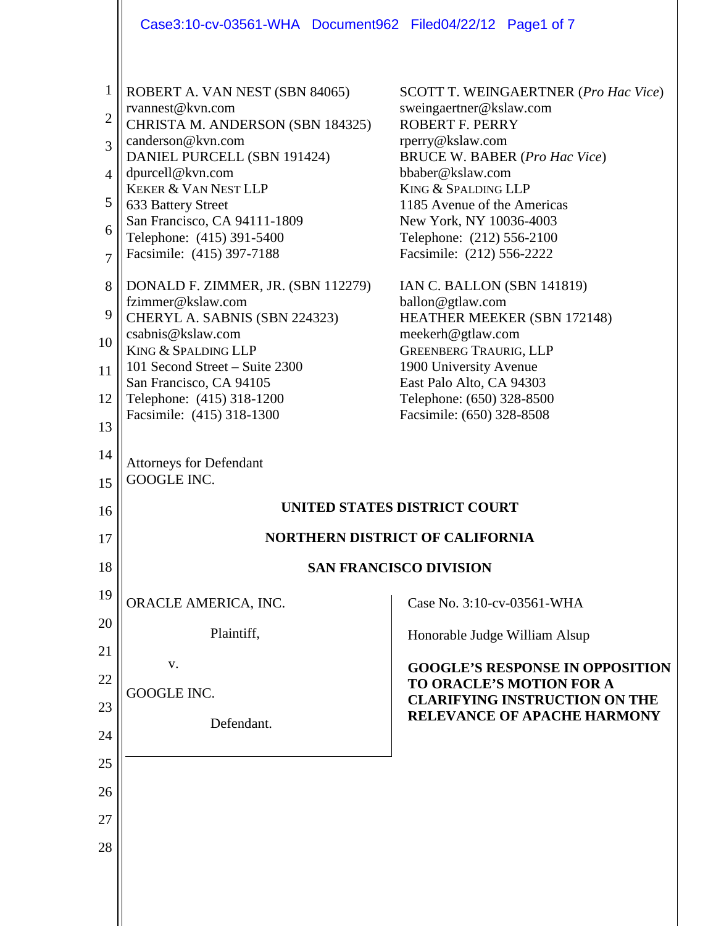|                                                                    | Case3:10-cv-03561-WHA Document962 Filed04/22/12 Page1 of 7                                                                                                                                                                                                                                                        |                                                                                                                                                                                                                                                                                                                             |
|--------------------------------------------------------------------|-------------------------------------------------------------------------------------------------------------------------------------------------------------------------------------------------------------------------------------------------------------------------------------------------------------------|-----------------------------------------------------------------------------------------------------------------------------------------------------------------------------------------------------------------------------------------------------------------------------------------------------------------------------|
| $\mathbf{1}$<br>$\mathbf{2}$<br>3<br>4<br>5<br>6<br>$\overline{7}$ | ROBERT A. VAN NEST (SBN 84065)<br>rvannest@kvn.com<br>CHRISTA M. ANDERSON (SBN 184325)<br>canderson@kvn.com<br>DANIEL PURCELL (SBN 191424)<br>dpurcell@kvn.com<br><b>KEKER &amp; VAN NEST LLP</b><br>633 Battery Street<br>San Francisco, CA 94111-1809<br>Telephone: (415) 391-5400<br>Facsimile: (415) 397-7188 | <b>SCOTT T. WEINGAERTNER (Pro Hac Vice)</b><br>sweingaertner@kslaw.com<br><b>ROBERT F. PERRY</b><br>rperry@kslaw.com<br><b>BRUCE W. BABER (Pro Hac Vice)</b><br>bbaber@kslaw.com<br>KING & SPALDING LLP<br>1185 Avenue of the Americas<br>New York, NY 10036-4003<br>Telephone: (212) 556-2100<br>Facsimile: (212) 556-2222 |
| 8<br>9<br>10<br>11<br>12<br>13                                     | DONALD F. ZIMMER, JR. (SBN 112279)<br>fzimmer@kslaw.com<br>CHERYL A. SABNIS (SBN 224323)<br>csabnis@kslaw.com<br>KING & SPALDING LLP<br>101 Second Street – Suite 2300<br>San Francisco, CA 94105<br>Telephone: (415) 318-1200<br>Facsimile: (415) 318-1300                                                       | IAN C. BALLON (SBN 141819)<br>ballon@gtlaw.com<br>HEATHER MEEKER (SBN 172148)<br>meekerh@gtlaw.com<br><b>GREENBERG TRAURIG, LLP</b><br>1900 University Avenue<br>East Palo Alto, CA 94303<br>Telephone: (650) 328-8500<br>Facsimile: (650) 328-8508                                                                         |
| 14<br>15<br>16                                                     | <b>Attorneys for Defendant</b><br><b>GOOGLE INC.</b>                                                                                                                                                                                                                                                              | <b>UNITED STATES DISTRICT COURT</b>                                                                                                                                                                                                                                                                                         |
| 17                                                                 |                                                                                                                                                                                                                                                                                                                   | <b>NORTHERN DISTRICT OF CALIFORNIA</b>                                                                                                                                                                                                                                                                                      |
| 18                                                                 |                                                                                                                                                                                                                                                                                                                   | <b>SAN FRANCISCO DIVISION</b>                                                                                                                                                                                                                                                                                               |
| 19<br>20<br>21<br>22<br>23<br>24<br>25<br>26<br>27<br>28           | ORACLE AMERICA, INC.<br>Plaintiff,<br>v.<br>GOOGLE INC.<br>Defendant.                                                                                                                                                                                                                                             | Case No. 3:10-cv-03561-WHA<br>Honorable Judge William Alsup<br><b>GOOGLE'S RESPONSE IN OPPOSITION</b><br>TO ORACLE'S MOTION FOR A<br><b>CLARIFYING INSTRUCTION ON THE</b><br><b>RELEVANCE OF APACHE HARMONY</b>                                                                                                             |
|                                                                    |                                                                                                                                                                                                                                                                                                                   |                                                                                                                                                                                                                                                                                                                             |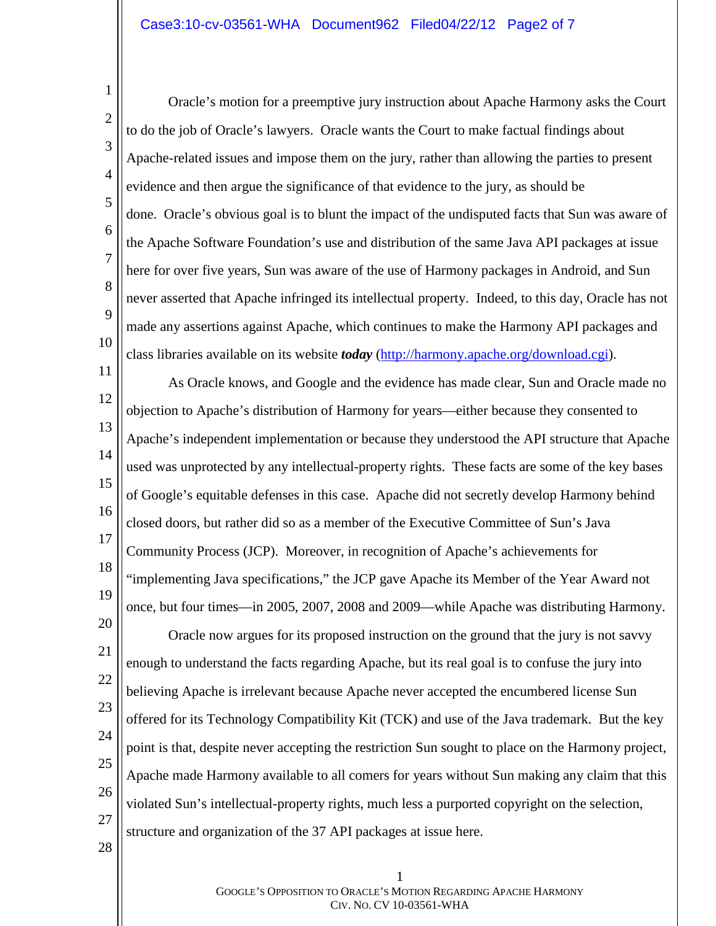1 2 3 4 5 6 7 8 9 10 Oracle's motion for a preemptive jury instruction about Apache Harmony asks the Court to do the job of Oracle's lawyers. Oracle wants the Court to make factual findings about Apache-related issues and impose them on the jury, rather than allowing the parties to present evidence and then argue the significance of that evidence to the jury, as should be done. Oracle's obvious goal is to blunt the impact of the undisputed facts that Sun was aware of the Apache Software Foundation's use and distribution of the same Java API packages at issue here for over five years, Sun was aware of the use of Harmony packages in Android, and Sun never asserted that Apache infringed its intellectual property. Indeed, to this day, Oracle has not made any assertions against Apache, which continues to make the Harmony API packages and class libraries available on its website *today* [\(http://harmony.apache.org/download.cgi\)](http://harmony.apache.org/download.cgi).

11 12 13 14 15 16 17 18 19 20 21 22 23 24 25 26 27 28 As Oracle knows, and Google and the evidence has made clear, Sun and Oracle made no objection to Apache's distribution of Harmony for years—either because they consented to Apache's independent implementation or because they understood the API structure that Apache used was unprotected by any intellectual-property rights. These facts are some of the key bases of Google's equitable defenses in this case. Apache did not secretly develop Harmony behind closed doors, but rather did so as a member of the Executive Committee of Sun's Java Community Process (JCP). Moreover, in recognition of Apache's achievements for "implementing Java specifications," the JCP gave Apache its Member of the Year Award not once, but four times—in 2005, 2007, 2008 and 2009—while Apache was distributing Harmony. Oracle now argues for its proposed instruction on the ground that the jury is not savvy enough to understand the facts regarding Apache, but its real goal is to confuse the jury into believing Apache is irrelevant because Apache never accepted the encumbered license Sun offered for its Technology Compatibility Kit (TCK) and use of the Java trademark. But the key point is that, despite never accepting the restriction Sun sought to place on the Harmony project, Apache made Harmony available to all comers for years without Sun making any claim that this violated Sun's intellectual-property rights, much less a purported copyright on the selection, structure and organization of the 37 API packages at issue here.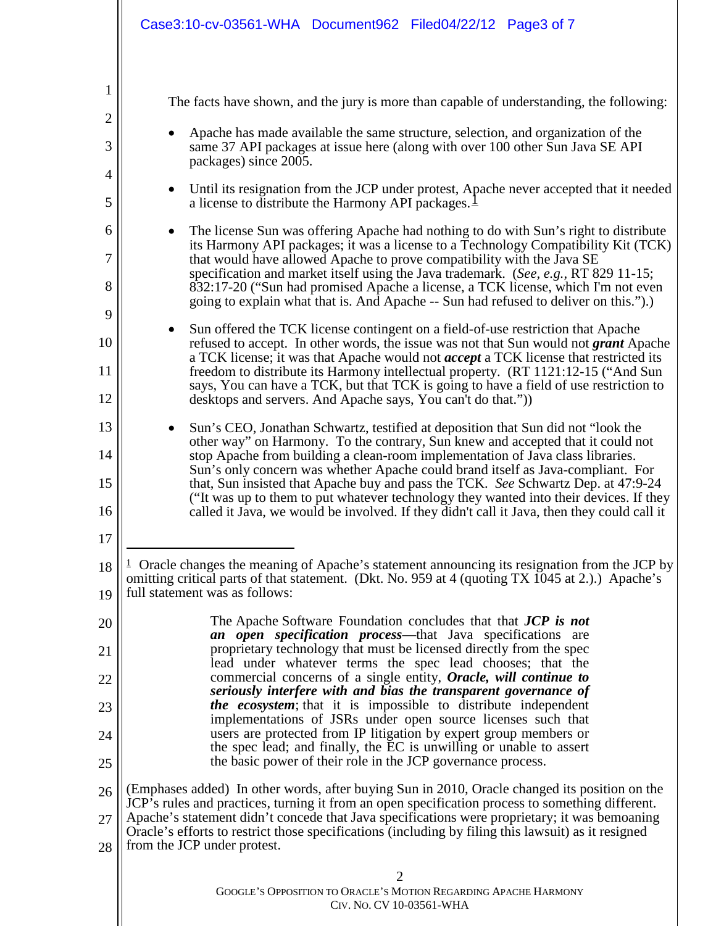<span id="page-2-0"></span>

|                                                                                 | Case3:10-cv-03561-WHA Document962 Filed04/22/12 Page3 of 7                                                                                                                                                                                                                                                                                                                                                                                                                                                                                                                                                                                                                                                                                                                                                                                                                                                                                                                                                                                                                                                                                                                                                                                                                                                                                                                                                                                                               |  |
|---------------------------------------------------------------------------------|--------------------------------------------------------------------------------------------------------------------------------------------------------------------------------------------------------------------------------------------------------------------------------------------------------------------------------------------------------------------------------------------------------------------------------------------------------------------------------------------------------------------------------------------------------------------------------------------------------------------------------------------------------------------------------------------------------------------------------------------------------------------------------------------------------------------------------------------------------------------------------------------------------------------------------------------------------------------------------------------------------------------------------------------------------------------------------------------------------------------------------------------------------------------------------------------------------------------------------------------------------------------------------------------------------------------------------------------------------------------------------------------------------------------------------------------------------------------------|--|
| 1<br>$\overline{2}$<br>3<br>$\overline{4}$<br>5<br>6<br>7<br>8<br>9<br>10<br>11 | The facts have shown, and the jury is more than capable of understanding, the following:<br>Apache has made available the same structure, selection, and organization of the<br>same 37 API packages at issue here (along with over 100 other Sun Java SE API<br>packages) since 2005.<br>Until its resignation from the JCP under protest, Apache never accepted that it needed<br>$\bullet$<br>a license to distribute the Harmony API packages. $\perp$<br>The license Sun was offering Apache had nothing to do with Sun's right to distribute<br>$\bullet$<br>its Harmony API packages; it was a license to a Technology Compatibility Kit (TCK)<br>that would have allowed Apache to prove compatibility with the Java SE<br>specification and market itself using the Java trademark. (See, e.g., RT 829 11-15;<br>832:17-20 ("Sun had promised Apache a license, a TCK license, which I'm not even<br>going to explain what that is. And Apache -- Sun had refused to deliver on this.").)<br>Sun offered the TCK license contingent on a field-of-use restriction that Apache<br>$\bullet$<br>refused to accept. In other words, the issue was not that Sun would not grant Apache<br>a TCK license; it was that Apache would not <i>accept</i> a TCK license that restricted its<br>freedom to distribute its Harmony intellectual property. (RT 1121:12-15 ("And Sun<br>says, You can have a TCK, but that TCK is going to have a field of use restriction to |  |
| 12<br>13<br>14<br>15<br>16<br>17                                                | desktops and servers. And Apache says, You can't do that.")<br>Sun's CEO, Jonathan Schwartz, testified at deposition that Sun did not "look the<br>$\bullet$<br>other way" on Harmony. To the contrary, Sun knew and accepted that it could not<br>stop Apache from building a clean-room implementation of Java class libraries.<br>Sun's only concern was whether Apache could brand itself as Java-compliant. For<br>that, Sun insisted that Apache buy and pass the TCK. See Schwartz Dep. at 47:9-24<br>("It was up to them to put whatever technology they wanted into their devices. If they<br>called it Java, we would be involved. If they didn't call it Java, then they could call it                                                                                                                                                                                                                                                                                                                                                                                                                                                                                                                                                                                                                                                                                                                                                                        |  |
| 18<br>19                                                                        | $\perp$ Oracle changes the meaning of Apache's statement announcing its resignation from the JCP by<br>omitting critical parts of that statement. (Dkt. No. 959 at 4 (quoting TX 1045 at 2.).) Apache's<br>full statement was as follows:                                                                                                                                                                                                                                                                                                                                                                                                                                                                                                                                                                                                                                                                                                                                                                                                                                                                                                                                                                                                                                                                                                                                                                                                                                |  |
| 20<br>21                                                                        | The Apache Software Foundation concludes that that <b>JCP</b> is not<br>an open specification process—that Java specifications are<br>proprietary technology that must be licensed directly from the spec<br>lead under whatever terms the spec lead chooses; that the                                                                                                                                                                                                                                                                                                                                                                                                                                                                                                                                                                                                                                                                                                                                                                                                                                                                                                                                                                                                                                                                                                                                                                                                   |  |
| 22<br>23                                                                        | commercial concerns of a single entity, Oracle, will continue to<br>seriously interfere with and bias the transparent governance of<br><i>the ecosystem</i> ; that it is impossible to distribute independent                                                                                                                                                                                                                                                                                                                                                                                                                                                                                                                                                                                                                                                                                                                                                                                                                                                                                                                                                                                                                                                                                                                                                                                                                                                            |  |
| 24                                                                              | implementations of JSRs under open source licenses such that<br>users are protected from IP litigation by expert group members or<br>the spec lead; and finally, the EC is unwilling or unable to assert                                                                                                                                                                                                                                                                                                                                                                                                                                                                                                                                                                                                                                                                                                                                                                                                                                                                                                                                                                                                                                                                                                                                                                                                                                                                 |  |
| 25                                                                              | the basic power of their role in the JCP governance process.                                                                                                                                                                                                                                                                                                                                                                                                                                                                                                                                                                                                                                                                                                                                                                                                                                                                                                                                                                                                                                                                                                                                                                                                                                                                                                                                                                                                             |  |
| 26<br>27<br>28                                                                  | (Emphases added) In other words, after buying Sun in 2010, Oracle changed its position on the<br>JCP's rules and practices, turning it from an open specification process to something different.<br>Apache's statement didn't concede that Java specifications were proprietary; it was bemoaning<br>Oracle's efforts to restrict those specifications (including by filing this lawsuit) as it resigned<br>from the JCP under protest.                                                                                                                                                                                                                                                                                                                                                                                                                                                                                                                                                                                                                                                                                                                                                                                                                                                                                                                                                                                                                                 |  |
|                                                                                 | 2<br>GOOGLE'S OPPOSITION TO ORACLE'S MOTION REGARDING APACHE HARMONY<br>CIV. No. CV 10-03561-WHA                                                                                                                                                                                                                                                                                                                                                                                                                                                                                                                                                                                                                                                                                                                                                                                                                                                                                                                                                                                                                                                                                                                                                                                                                                                                                                                                                                         |  |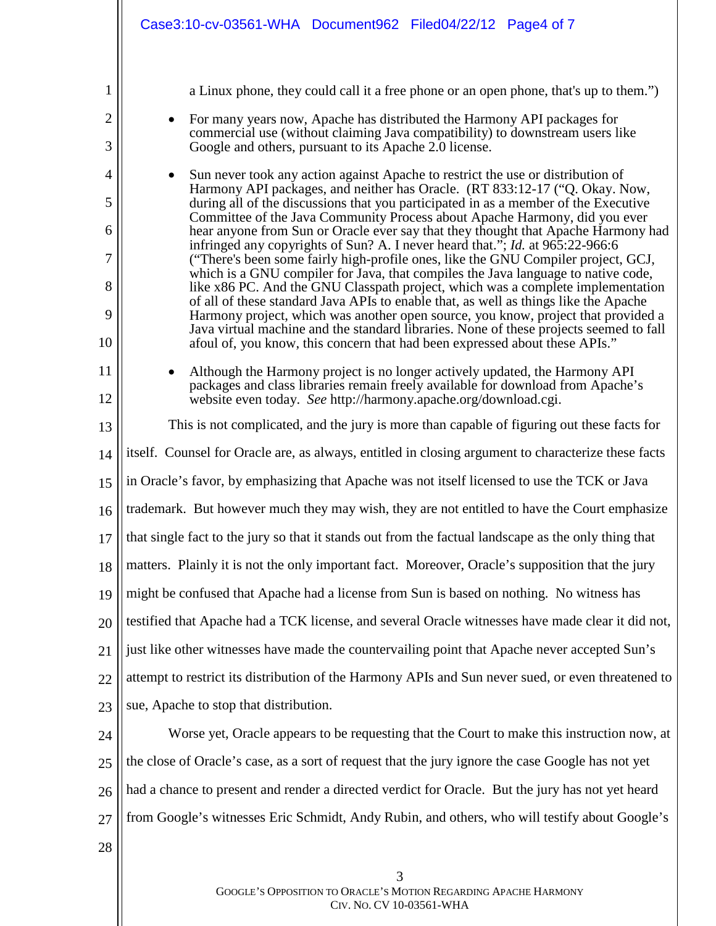|                                     | Case3:10-cv-03561-WHA Document962 Filed04/22/12 Page4 of 7                                                                                                                                                                                                                                                                                                                                                                                                                                                                                                                                                                                                                                                                                                                                                                                                                                                                                                        |  |  |  |  |  |
|-------------------------------------|-------------------------------------------------------------------------------------------------------------------------------------------------------------------------------------------------------------------------------------------------------------------------------------------------------------------------------------------------------------------------------------------------------------------------------------------------------------------------------------------------------------------------------------------------------------------------------------------------------------------------------------------------------------------------------------------------------------------------------------------------------------------------------------------------------------------------------------------------------------------------------------------------------------------------------------------------------------------|--|--|--|--|--|
| 1<br>$\overline{2}$<br>3            | a Linux phone, they could call it a free phone or an open phone, that's up to them.")<br>For many years now, Apache has distributed the Harmony API packages for<br>commercial use (without claiming Java compatibility) to downstream users like<br>Google and others, pursuant to its Apache 2.0 license.                                                                                                                                                                                                                                                                                                                                                                                                                                                                                                                                                                                                                                                       |  |  |  |  |  |
| $\overline{4}$<br>5                 | Sun never took any action against Apache to restrict the use or distribution of<br>Harmony API packages, and neither has Oracle. (RT 833:12-17 ("Q. Okay. Now,                                                                                                                                                                                                                                                                                                                                                                                                                                                                                                                                                                                                                                                                                                                                                                                                    |  |  |  |  |  |
| 6<br>$\overline{7}$<br>8<br>9<br>10 | during all of the discussions that you participated in as a member of the Executive<br>Committee of the Java Community Process about Apache Harmony, did you ever<br>hear anyone from Sun or Oracle ever say that they thought that Apache Harmony had<br>infringed any copyrights of Sun? A. I never heard that."; <i>Id.</i> at 965:22-966:6<br>("There's been some fairly high-profile ones, like the GNU Compiler project, GCJ,<br>which is a GNU compiler for Java, that compiles the Java language to native code,<br>like x86 PC. And the GNU Classpath project, which was a complete implementation<br>of all of these standard Java APIs to enable that, as well as things like the Apache<br>Harmony project, which was another open source, you know, project that provided a<br>Java virtual machine and the standard libraries. None of these projects seemed to fall<br>afoul of, you know, this concern that had been expressed about these APIs." |  |  |  |  |  |
| 11<br>12                            | Although the Harmony project is no longer actively updated, the Harmony API<br>packages and class libraries remain freely available for download from Apache's<br>website even today. See http://harmony.apache.org/download.cgi.                                                                                                                                                                                                                                                                                                                                                                                                                                                                                                                                                                                                                                                                                                                                 |  |  |  |  |  |
| 13                                  | This is not complicated, and the jury is more than capable of figuring out these facts for                                                                                                                                                                                                                                                                                                                                                                                                                                                                                                                                                                                                                                                                                                                                                                                                                                                                        |  |  |  |  |  |
| 14                                  | itself. Counsel for Oracle are, as always, entitled in closing argument to characterize these facts                                                                                                                                                                                                                                                                                                                                                                                                                                                                                                                                                                                                                                                                                                                                                                                                                                                               |  |  |  |  |  |
| 15                                  | in Oracle's favor, by emphasizing that Apache was not itself licensed to use the TCK or Java                                                                                                                                                                                                                                                                                                                                                                                                                                                                                                                                                                                                                                                                                                                                                                                                                                                                      |  |  |  |  |  |
| 16                                  | trademark. But however much they may wish, they are not entitled to have the Court emphasize                                                                                                                                                                                                                                                                                                                                                                                                                                                                                                                                                                                                                                                                                                                                                                                                                                                                      |  |  |  |  |  |
| 17                                  | that single fact to the jury so that it stands out from the factual landscape as the only thing that                                                                                                                                                                                                                                                                                                                                                                                                                                                                                                                                                                                                                                                                                                                                                                                                                                                              |  |  |  |  |  |
| 18                                  | matters. Plainly it is not the only important fact. Moreover, Oracle's supposition that the jury                                                                                                                                                                                                                                                                                                                                                                                                                                                                                                                                                                                                                                                                                                                                                                                                                                                                  |  |  |  |  |  |
| 19                                  | might be confused that Apache had a license from Sun is based on nothing. No witness has                                                                                                                                                                                                                                                                                                                                                                                                                                                                                                                                                                                                                                                                                                                                                                                                                                                                          |  |  |  |  |  |
| 20                                  | testified that Apache had a TCK license, and several Oracle witnesses have made clear it did not,                                                                                                                                                                                                                                                                                                                                                                                                                                                                                                                                                                                                                                                                                                                                                                                                                                                                 |  |  |  |  |  |
| 21                                  | just like other witnesses have made the countervailing point that Apache never accepted Sun's                                                                                                                                                                                                                                                                                                                                                                                                                                                                                                                                                                                                                                                                                                                                                                                                                                                                     |  |  |  |  |  |
| 22                                  | attempt to restrict its distribution of the Harmony APIs and Sun never sued, or even threatened to                                                                                                                                                                                                                                                                                                                                                                                                                                                                                                                                                                                                                                                                                                                                                                                                                                                                |  |  |  |  |  |
| 23                                  | sue, Apache to stop that distribution.                                                                                                                                                                                                                                                                                                                                                                                                                                                                                                                                                                                                                                                                                                                                                                                                                                                                                                                            |  |  |  |  |  |
| 24                                  | Worse yet, Oracle appears to be requesting that the Court to make this instruction now, at                                                                                                                                                                                                                                                                                                                                                                                                                                                                                                                                                                                                                                                                                                                                                                                                                                                                        |  |  |  |  |  |
| 25                                  | the close of Oracle's case, as a sort of request that the jury ignore the case Google has not yet                                                                                                                                                                                                                                                                                                                                                                                                                                                                                                                                                                                                                                                                                                                                                                                                                                                                 |  |  |  |  |  |
| 26                                  | had a chance to present and render a directed verdict for Oracle. But the jury has not yet heard                                                                                                                                                                                                                                                                                                                                                                                                                                                                                                                                                                                                                                                                                                                                                                                                                                                                  |  |  |  |  |  |
| 27                                  | from Google's witnesses Eric Schmidt, Andy Rubin, and others, who will testify about Google's                                                                                                                                                                                                                                                                                                                                                                                                                                                                                                                                                                                                                                                                                                                                                                                                                                                                     |  |  |  |  |  |
| 28                                  |                                                                                                                                                                                                                                                                                                                                                                                                                                                                                                                                                                                                                                                                                                                                                                                                                                                                                                                                                                   |  |  |  |  |  |
|                                     | 3<br>GOOGLE'S OPPOSITION TO ORACLE'S MOTION REGARDING APACHE HARMONY                                                                                                                                                                                                                                                                                                                                                                                                                                                                                                                                                                                                                                                                                                                                                                                                                                                                                              |  |  |  |  |  |

CIV. NO. CV 10-03561-WHA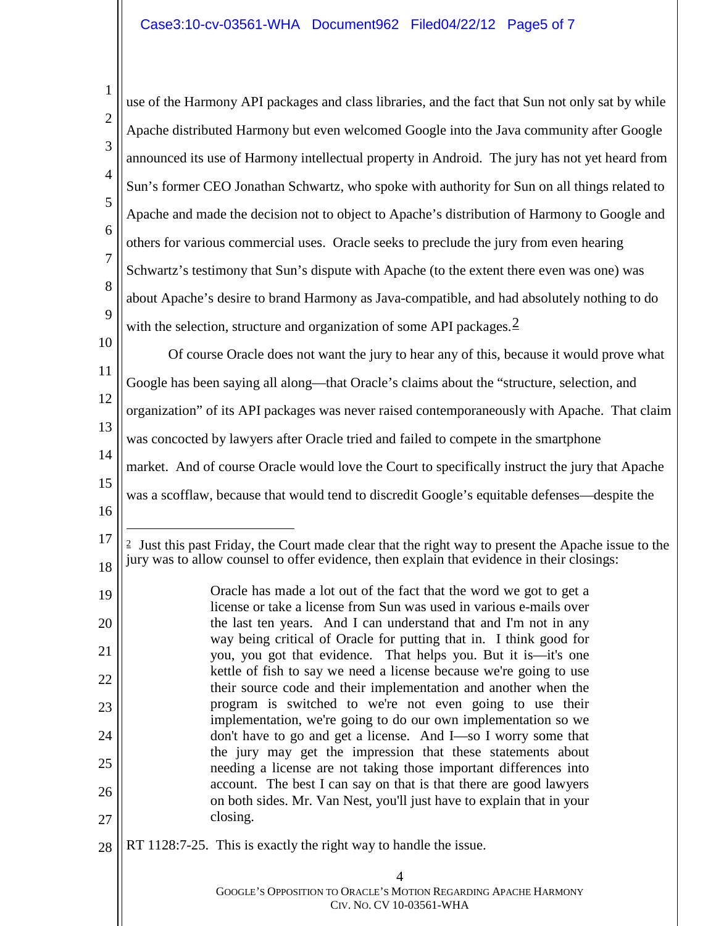<span id="page-4-0"></span>

| 1              | use of the Harmony API packages and class libraries, and the fact that Sun not only sat by while                                                                                                             |  |  |  |  |
|----------------|--------------------------------------------------------------------------------------------------------------------------------------------------------------------------------------------------------------|--|--|--|--|
| $\overline{2}$ |                                                                                                                                                                                                              |  |  |  |  |
| 3              | Apache distributed Harmony but even welcomed Google into the Java community after Google                                                                                                                     |  |  |  |  |
| $\overline{4}$ | announced its use of Harmony intellectual property in Android. The jury has not yet heard from                                                                                                               |  |  |  |  |
|                | Sun's former CEO Jonathan Schwartz, who spoke with authority for Sun on all things related to                                                                                                                |  |  |  |  |
| 5              | Apache and made the decision not to object to Apache's distribution of Harmony to Google and                                                                                                                 |  |  |  |  |
| 6              | others for various commercial uses. Oracle seeks to preclude the jury from even hearing                                                                                                                      |  |  |  |  |
| 7              | Schwartz's testimony that Sun's dispute with Apache (to the extent there even was one) was                                                                                                                   |  |  |  |  |
| 8              | about Apache's desire to brand Harmony as Java-compatible, and had absolutely nothing to do                                                                                                                  |  |  |  |  |
| 9              | with the selection, structure and organization of some API packages. $\frac{2}{3}$                                                                                                                           |  |  |  |  |
| 10             | Of course Oracle does not want the jury to hear any of this, because it would prove what                                                                                                                     |  |  |  |  |
| 11             | Google has been saying all along—that Oracle's claims about the "structure, selection, and                                                                                                                   |  |  |  |  |
| 12             | organization" of its API packages was never raised contemporaneously with Apache. That claim                                                                                                                 |  |  |  |  |
| 13             | was concocted by lawyers after Oracle tried and failed to compete in the smartphone                                                                                                                          |  |  |  |  |
| 14             | market. And of course Oracle would love the Court to specifically instruct the jury that Apache                                                                                                              |  |  |  |  |
| 15             | was a scofflaw, because that would tend to discredit Google's equitable defenses—despite the                                                                                                                 |  |  |  |  |
| 16             |                                                                                                                                                                                                              |  |  |  |  |
| 17<br>18       | <sup>2</sup> Just this past Friday, the Court made clear that the right way to present the Apache issue to the<br>jury was to allow counsel to offer evidence, then explain that evidence in their closings: |  |  |  |  |
| 19             | Oracle has made a lot out of the fact that the word we got to get a                                                                                                                                          |  |  |  |  |
| 20             | license or take a license from Sun was used in various e-mails over<br>the last ten years. And I can understand that and I'm not in any                                                                      |  |  |  |  |
|                | way being critical of Oracle for putting that in. I think good for                                                                                                                                           |  |  |  |  |
| 21             | you, you got that evidence. That helps you. But it is—it's one<br>kettle of fish to say we need a license because we're going to use                                                                         |  |  |  |  |
| 22             | their source code and their implementation and another when the                                                                                                                                              |  |  |  |  |
| 23             | program is switched to we're not even going to use their<br>implementation, we're going to do our own implementation so we                                                                                   |  |  |  |  |
| 24             | don't have to go and get a license. And I-so I worry some that<br>the jury may get the impression that these statements about                                                                                |  |  |  |  |
| 25             | needing a license are not taking those important differences into                                                                                                                                            |  |  |  |  |
| 26             | account. The best I can say on that is that there are good lawyers<br>on both sides. Mr. Van Nest, you'll just have to explain that in your                                                                  |  |  |  |  |
| 27             | closing.                                                                                                                                                                                                     |  |  |  |  |
| 28             | RT 1128:7-25. This is exactly the right way to handle the issue.                                                                                                                                             |  |  |  |  |
|                | 4<br>GOOGLE'S OPPOSITION TO ORACLE'S MOTION REGARDING APACHE HARMONY<br>CIV. No. CV 10-03561-WHA                                                                                                             |  |  |  |  |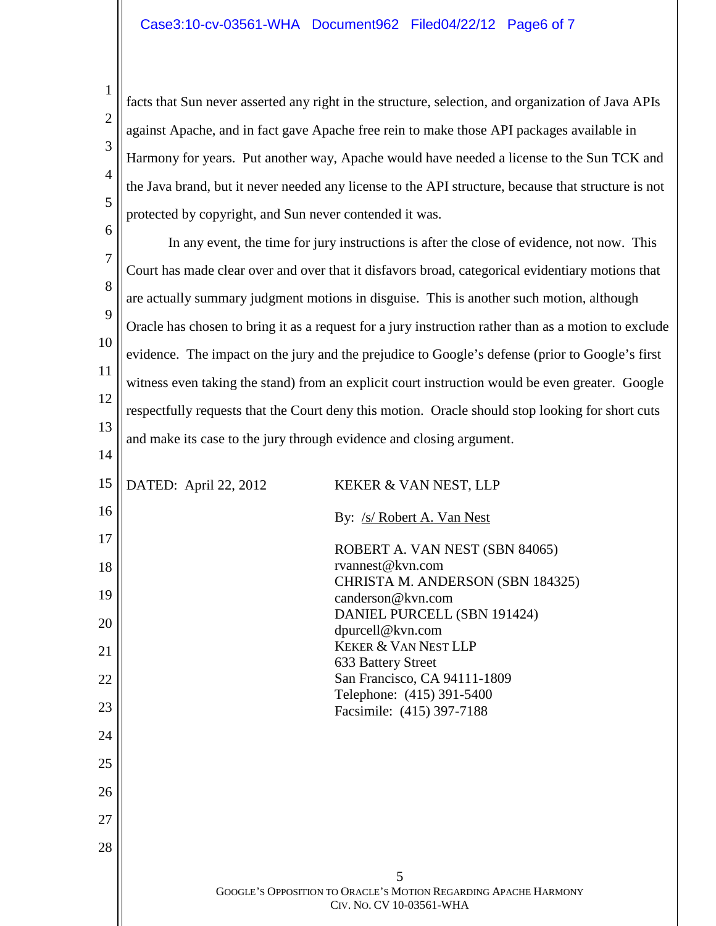1 2 3 4 5 facts that Sun never asserted any right in the structure, selection, and organization of Java APIs against Apache, and in fact gave Apache free rein to make those API packages available in Harmony for years. Put another way, Apache would have needed a license to the Sun TCK and the Java brand, but it never needed any license to the API structure, because that structure is not protected by copyright, and Sun never contended it was.

6 7 8 9 10 11 12 13 In any event, the time for jury instructions is after the close of evidence, not now. This Court has made clear over and over that it disfavors broad, categorical evidentiary motions that are actually summary judgment motions in disguise. This is another such motion, although Oracle has chosen to bring it as a request for a jury instruction rather than as a motion to exclude evidence. The impact on the jury and the prejudice to Google's defense (prior to Google's first witness even taking the stand) from an explicit court instruction would be even greater. Google respectfully requests that the Court deny this motion. Oracle should stop looking for short cuts and make its case to the jury through evidence and closing argument.

| 15 | DATED: April 22, 2012 | KEKER & VAN NEST, LLP                                                                            |
|----|-----------------------|--------------------------------------------------------------------------------------------------|
| 16 |                       | By: /s/ Robert A. Van Nest                                                                       |
| 17 |                       | ROBERT A. VAN NEST (SBN 84065)                                                                   |
| 18 |                       | rvannest@kvn.com                                                                                 |
| 19 |                       | CHRISTA M. ANDERSON (SBN 184325)<br>canderson@kvn.com                                            |
| 20 |                       | DANIEL PURCELL (SBN 191424)<br>dpurcell@kvn.com                                                  |
| 21 |                       | <b>KEKER &amp; VAN NEST LLP</b><br>633 Battery Street                                            |
| 22 |                       | San Francisco, CA 94111-1809                                                                     |
| 23 |                       | Telephone: (415) 391-5400<br>Facsimile: (415) 397-7188                                           |
| 24 |                       |                                                                                                  |
| 25 |                       |                                                                                                  |
| 26 |                       |                                                                                                  |
| 27 |                       |                                                                                                  |
| 28 |                       |                                                                                                  |
|    |                       | 5<br>GOOGLE'S OPPOSITION TO ORACLE'S MOTION REGARDING APACHE HARMONY<br>CIV. NO. CV 10-03561-WHA |

14